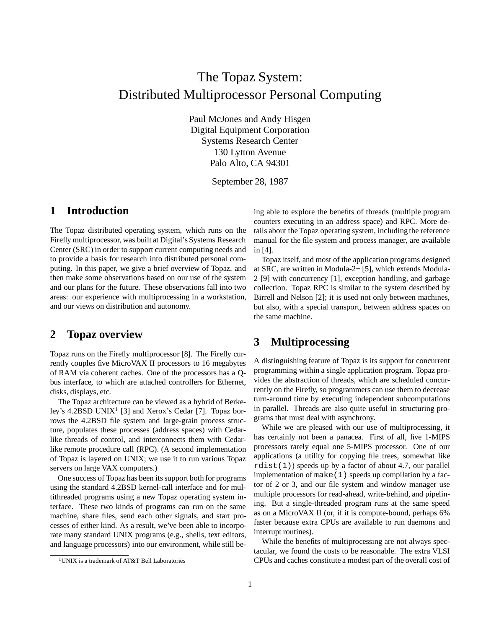# The Topaz System: Distributed Multiprocessor Personal Computing

Paul McJones and Andy Hisgen Digital Equipment Corporation Systems Research Center 130 Lytton Avenue Palo Alto, CA 94301

September 28, 1987

## **1 Introduction**

The Topaz distributed operating system, which runs on the Firefly multiprocessor, was built at Digital's Systems Research Center (SRC) in order to support current computing needs and to provide a basis for research into distributed personal computing. In this paper, we give a brief overview of Topaz, and then make some observations based on our use of the system and our plans for the future. These observations fall into two areas: our experience with multiprocessing in a workstation, and our views on distribution and autonomy.

#### **2 Topaz overview**

Topaz runs on the Firefly multiprocessor [8]. The Firefly currently couples five MicroVAX II processors to 16 megabytes of RAM via coherent caches. One of the processors has a Qbus interface, to which are attached controllers for Ethernet, disks, displays, etc.

The Topaz architecture can be viewed as a hybrid of Berkeley's 4.2BSD UNIX<sup>1</sup> [3] and Xerox's Cedar [7]. Topaz borrows the 4.2BSD file system and large-grain process structure, populates these processes (address spaces) with Cedarlike threads of control, and interconnects them with Cedarlike remote procedure call (RPC). (A second implementation of Topaz is layered on UNIX; we use it to run various Topaz servers on large VAX computers.)

One success of Topaz has been its support both for programs using the standard 4.2BSD kernel-call interface and for multithreaded programs using a new Topaz operating system interface. These two kinds of programs can run on the same machine, share files, send each other signals, and start processes of either kind. As a result, we've been able to incorporate many standard UNIX programs (e.g., shells, text editors, and language processors) into our environment, while still be-

ing able to explore the benefits of threads (multiple program counters executing in an address space) and RPC. More details about the Topaz operating system, including the reference manual for the file system and process manager, are available in [4].

Topaz itself, and most of the application programs designed at SRC, are written in Modula-2+ [5], which extends Modula-2 [9] with concurrency [1], exception handling, and garbage collection. Topaz RPC is similar to the system described by Birrell and Nelson [2]; it is used not only between machines, but also, with a special transport, between address spaces on the same machine.

### **3 Multiprocessing**

A distinguishing feature of Topaz is its support for concurrent programming within a single application program. Topaz provides the abstraction of threads, which are scheduled concurrently on the Firefly, so programmers can use them to decrease turn-around time by executing independent subcomputations in parallel. Threads are also quite useful in structuring programs that must deal with asynchrony.

While we are pleased with our use of multiprocessing, it has certainly not been a panacea. First of all, five 1-MIPS processors rarely equal one 5-MIPS processor. One of our applications (a utility for copying file trees, somewhat like rdist(1)) speeds up by a factor of about 4.7, our parallel implementation of  $make(1)$  speeds up compilation by a factor of 2 or 3, and our file system and window manager use multiple processors for read-ahead, write-behind, and pipelining. But a single-threaded program runs at the same speed as on a MicroVAX II (or, if it is compute-bound, perhaps 6% faster because extra CPUs are available to run daemons and interrupt routines).

While the benefits of multiprocessing are not always spectacular, we found the costs to be reasonable. The extra VLSI CPUs and caches constitute a modest part of the overall cost of

<sup>1</sup>UNIX is a trademark of AT&T Bell Laboratories